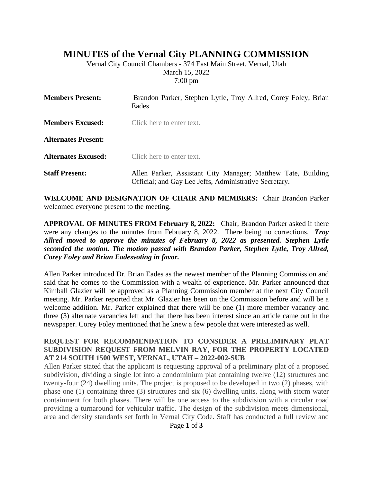# **MINUTES of the Vernal City PLANNING COMMISSION**

Vernal City Council Chambers - 374 East Main Street, Vernal, Utah March 15, 2022 7:00 pm

| <b>Members Present:</b>    | Brandon Parker, Stephen Lytle, Troy Allred, Corey Foley, Brian<br>Eades                                                |
|----------------------------|------------------------------------------------------------------------------------------------------------------------|
| <b>Members Excused:</b>    | Click here to enter text.                                                                                              |
| <b>Alternates Present:</b> |                                                                                                                        |
| <b>Alternates Excused:</b> | Click here to enter text.                                                                                              |
| <b>Staff Present:</b>      | Allen Parker, Assistant City Manager; Matthew Tate, Building<br>Official; and Gay Lee Jeffs, Administrative Secretary. |

**WELCOME AND DESIGNATION OF CHAIR AND MEMBERS:** Chair Brandon Parker welcomed everyone present to the meeting.

**APPROVAL OF MINUTES FROM February 8, 2022:** Chair, Brandon Parker asked if there were any changes to the minutes from February 8, 2022. There being no corrections, *Troy Allred moved to approve the minutes of February 8, 2022 as presented. Stephen Lytle seconded the motion. The motion passed with Brandon Parker, Stephen Lytle, Troy Allred, Corey Foley and Brian Eadesvoting in favor.*

Allen Parker introduced Dr. Brian Eades as the newest member of the Planning Commission and said that he comes to the Commission with a wealth of experience. Mr. Parker announced that Kimball Glazier will be approved as a Planning Commission member at the next City Council meeting. Mr. Parker reported that Mr. Glazier has been on the Commission before and will be a welcome addition. Mr. Parker explained that there will be one (1) more member vacancy and three (3) alternate vacancies left and that there has been interest since an article came out in the newspaper. Corey Foley mentioned that he knew a few people that were interested as well.

#### **REQUEST FOR RECOMMENDATION TO CONSIDER A PRELIMINARY PLAT SUBDIVISION REQUEST FROM MELVIN RAY, FOR THE PROPERTY LOCATED AT 214 SOUTH 1500 WEST, VERNAL, UTAH – 2022-002-SUB**

Allen Parker stated that the applicant is requesting approval of a preliminary plat of a proposed subdivision, dividing a single lot into a condominium plat containing twelve (12) structures and twenty-four (24) dwelling units. The project is proposed to be developed in two (2) phases, with phase one (1) containing three (3) structures and six (6) dwelling units, along with storm water containment for both phases. There will be one access to the subdivision with a circular road providing a turnaround for vehicular traffic. The design of the subdivision meets dimensional, area and density standards set forth in Vernal City Code. Staff has conducted a full review and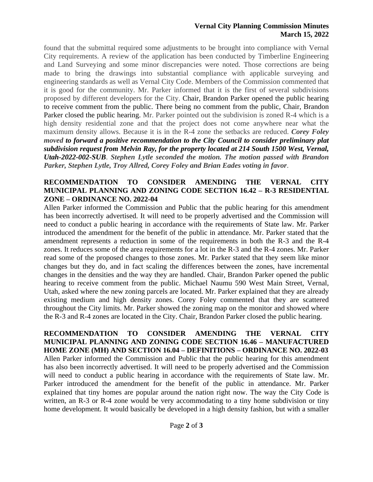### **Vernal City Planning Commission Minutes March 15, 2022**

found that the submittal required some adjustments to be brought into compliance with Vernal City requirements. A review of the application has been conducted by Timberline Engineering and Land Surveying and some minor discrepancies were noted. Those corrections are being made to bring the drawings into substantial compliance with applicable surveying and engineering standards as well as Vernal City Code. Members of the Commission commented that it is good for the community. Mr. Parker informed that it is the first of several subdivisions proposed by different developers for the City. Chair, Brandon Parker opened the public hearing to receive comment from the public. There being no comment from the public, Chair, Brandon Parker closed the public hearing. Mr. Parker pointed out the subdivision is zoned R-4 which is a high density residential zone and that the project does not come anywhere near what the maximum density allows. Because it is in the R-4 zone the setbacks are reduced. *Corey Foley moved to forward a positive recommendation to the City Council to consider preliminary plat subdivision request from Melvin Ray, for the property located at 214 South 1500 West, Vernal, Utah-2022-002-SUB*. *Stephen Lytle seconded the motion. The motion passed with Brandon Parker, Stephen Lytle, Troy Allred, Corey Foley and Brian Eades voting in favor*.

#### **RECOMMENDATION TO CONSIDER AMENDING THE VERNAL CITY MUNICIPAL PLANNING AND ZONING CODE SECTION 16.42 – R-3 RESIDENTIAL ZONE – ORDINANCE NO. 2022-04**

Allen Parker informed the Commission and Public that the public hearing for this amendment has been incorrectly advertised. It will need to be properly advertised and the Commission will need to conduct a public hearing in accordance with the requirements of State law. Mr. Parker introduced the amendment for the benefit of the public in attendance. Mr. Parker stated that the amendment represents a reduction in some of the requirements in both the R-3 and the R-4 zones. It reduces some of the area requirements for a lot in the R-3 and the R-4 zones. Mr. Parker read some of the proposed changes to those zones. Mr. Parker stated that they seem like minor changes but they do, and in fact scaling the differences between the zones, have incremental changes in the densities and the way they are handled. Chair, Brandon Parker opened the public hearing to receive comment from the public. Michael Naumu 590 West Main Street, Vernal, Utah, asked where the new zoning parcels are located. Mr. Parker explained that they are already existing medium and high density zones. Corey Foley commented that they are scattered throughout the City limits. Mr. Parker showed the zoning map on the monitor and showed where the R-3 and R-4 zones are located in the City. Chair, Brandon Parker closed the public hearing.

**RECOMMENDATION TO CONSIDER AMENDING THE VERNAL CITY MUNICIPAL PLANNING AND ZONING CODE SECTION 16.46 – MANUFACTURED HOME ZONE (MH) AND SECTION 16.04 – DEFINITIONS – ORDINANCE NO. 2022-03** Allen Parker informed the Commission and Public that the public hearing for this amendment has also been incorrectly advertised. It will need to be properly advertised and the Commission will need to conduct a public hearing in accordance with the requirements of State law. Mr. Parker introduced the amendment for the benefit of the public in attendance. Mr. Parker explained that tiny homes are popular around the nation right now. The way the City Code is written, an R-3 or R-4 zone would be very accommodating to a tiny home subdivision or tiny home development. It would basically be developed in a high density fashion, but with a smaller